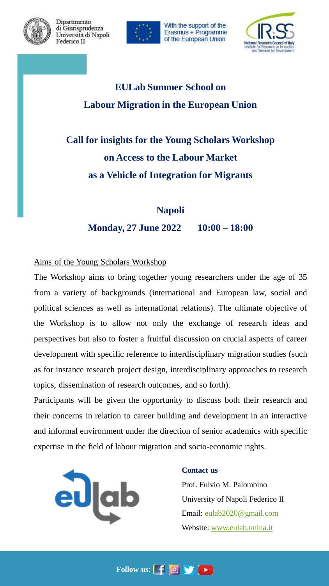

Dipartimento di Giurisprudenza Università di Napoli Federico II



With the support of the Erasmus + Programme of the European Union



# **EULab Summer School on Labour Migration in the European Union**

# **Call for insights for the Young Scholars Workshop on Access to the Labour Market as a Vehicle of Integration for Migrants**

# **Napoli Monday, 27 June 2022 10:00 – 18:00**

### Aims of the Young Scholars Workshop

The Workshop aims to bring together young researchers under the age of 35 from a variety of backgrounds (international and European law, social and political sciences as well as international relations). The ultimate objective of the Workshop is to allow not only the exchange of research ideas and perspectives but also to foster a fruitful discussion on crucial aspects of career development with specific reference to interdisciplinary migration studies (such as for instance research project design, interdisciplinary approaches to research topics, dissemination of research outcomes, and so forth).

Participants will be given the opportunity to discuss both their research and their concerns in relation to career building and development in an interactive and informal environment under the direction of senior academics with specific expertise in the field of labour migration and socio-economic rights.



### **Contact us**

Prof. Fulvio M. Palombino University of Napoli Federico II Email: [eulab2020@gmail.com](mailto:eulab2020@gmail.com) Website: [www.eulab.unina.it](http://www.eulab.unina.it/)

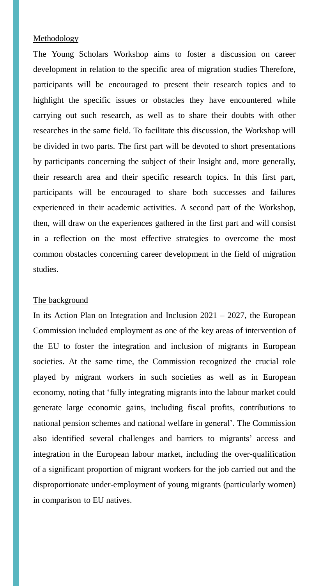#### Methodology

The Young Scholars Workshop aims to foster a discussion on career development in relation to the specific area of migration studies Therefore, participants will be encouraged to present their research topics and to highlight the specific issues or obstacles they have encountered while carrying out such research, as well as to share their doubts with other researches in the same field. To facilitate this discussion, the Workshop will be divided in two parts. The first part will be devoted to short presentations by participants concerning the subject of their Insight and, more generally, their research area and their specific research topics. In this first part, participants will be encouraged to share both successes and failures experienced in their academic activities. A second part of the Workshop, then, will draw on the experiences gathered in the first part and will consist in a reflection on the most effective strategies to overcome the most common obstacles concerning career development in the field of migration studies.

#### The background

In its Action Plan on Integration and Inclusion  $2021 - 2027$ , the European Commission included employment as one of the key areas of intervention of the EU to foster the integration and inclusion of migrants in European societies. At the same time, the Commission recognized the crucial role played by migrant workers in such societies as well as in European economy, noting that 'fully integrating migrants into the labour market could generate large economic gains, including fiscal profits, contributions to national pension schemes and national welfare in general'. The Commission also identified several challenges and barriers to migrants' access and integration in the European labour market, including the over-qualification of a significant proportion of migrant workers for the job carried out and the disproportionate under-employment of young migrants (particularly women) in comparison to EU natives.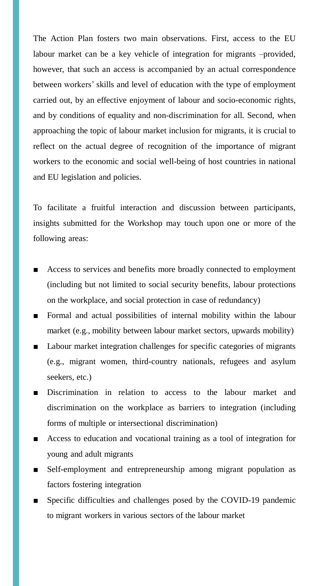The Action Plan fosters two main observations. First, access to the EU labour market can be a key vehicle of integration for migrants –provided, however, that such an access is accompanied by an actual correspondence between workers' skills and level of education with the type of employment carried out, by an effective enjoyment of labour and socio-economic rights, and by conditions of equality and non-discrimination for all. Second, when approaching the topic of labour market inclusion for migrants, it is crucial to reflect on the actual degree of recognition of the importance of migrant workers to the economic and social well-being of host countries in national and EU legislation and policies.

To facilitate a fruitful interaction and discussion between participants, insights submitted for the Workshop may touch upon one or more of the following areas:

- Access to services and benefits more broadly connected to employment (including but not limited to social security benefits, labour protections on the workplace, and social protection in case of redundancy)
- Formal and actual possibilities of internal mobility within the labour market (e.g., mobility between labour market sectors, upwards mobility)
- Labour market integration challenges for specific categories of migrants (e.g., migrant women, third-country nationals, refugees and asylum seekers, etc.)
- Discrimination in relation to access to the labour market and discrimination on the workplace as barriers to integration (including forms of multiple or intersectional discrimination)
- Access to education and vocational training as a tool of integration for young and adult migrants
- Self-employment and entrepreneurship among migrant population as factors fostering integration
- Specific difficulties and challenges posed by the COVID-19 pandemic to migrant workers in various sectors of the labour market